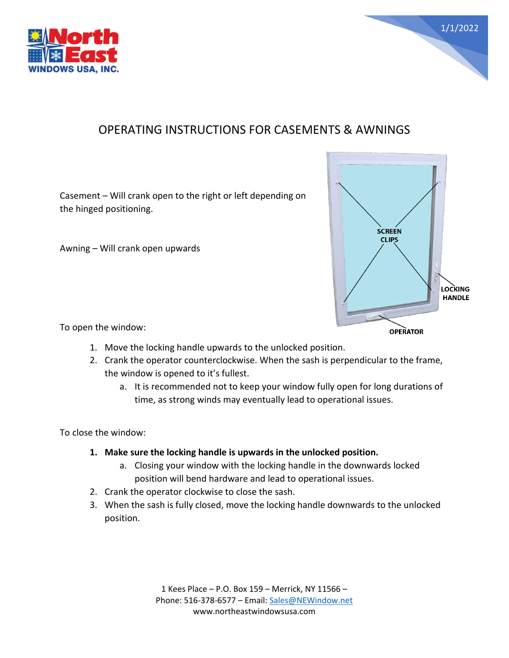



## OPERATING INSTRUCTIONS FOR CASEMENTS & AWNINGS

Casement – Will crank open to the right or left depending on the hinged positioning.

Awning – Will crank open upwards



To open the window:

- 1. Move the locking handle upwards to the unlocked position.
- 2. Crank the operator counterclockwise. When the sash is perpendicular to the frame, the window is opened to it's fullest.
	- a. It is recommended not to keep your window fully open for long durations of time, as strong winds may eventually lead to operational issues.

To close the window:

- **1. Make sure the locking handle is upwards in the unlocked position.**
	- a. Closing your window with the locking handle in the downwards locked position will bend hardware and lead to operational issues.
- 2. Crank the operator clockwise to close the sash.
- 3. When the sash is fully closed, move the locking handle downwards to the unlocked position.